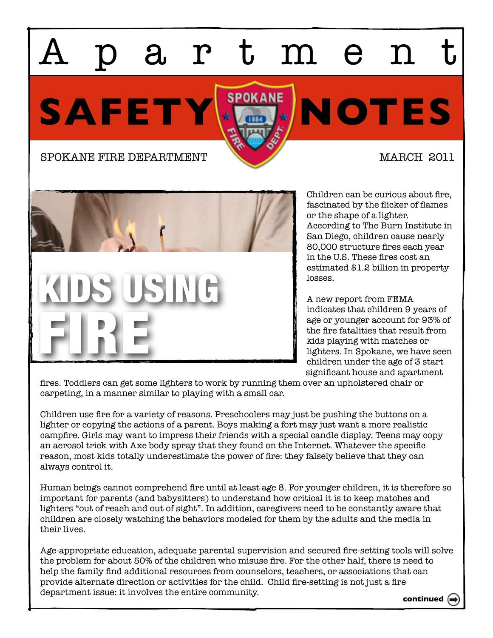## artmen

SAFETY **X** SPOKANE NOTES





Children can be curious about fire, fascinated by the flicker of flames or the shape of a lighter. According to The Burn Institute in San Diego, children cause nearly 80,000 structure fires each year in the U.S. These fires cost an estimated \$1.2 billion in property losses.

A new report from FEMA indicates that children 9 years of age or younger account for 93% of the fire fatalities that result from kids playing with matches or lighters. In Spokane, we have seen children under the age of 3 start significant house and apartment

fires. Toddlers can get some lighters to work by running them over an upholstered chair or carpeting, in a manner similar to playing with a small car.

Children use fire for a variety of reasons. Preschoolers may just be pushing the buttons on a lighter or copying the actions of a parent. Boys making a fort may just want a more realistic campfire. Girls may want to impress their friends with a special candle display. Teens may copy an aerosol trick with Axe body spray that they found on the Internet. Whatever the specific reason, most kids totally underestimate the power of fire: they falsely believe that they can always control it.

Human beings cannot comprehend fire until at least age 8. For younger children, it is therefore so important for parents (and babysitters) to understand how critical it is to keep matches and lighters "out of reach and out of sight". In addition, caregivers need to be constantly aware that children are closely watching the behaviors modeled for them by the adults and the media in their lives.

Age-appropriate education, adequate parental supervision and secured fire-setting tools will solve the problem for about 50% of the children who misuse fire. For the other half, there is need to help the family find additional resources from counselors, teachers, or associations that can provide alternate direction or activities for the child. Child fire-setting is not just a fire department issue: it involves the entire community.

**continued**